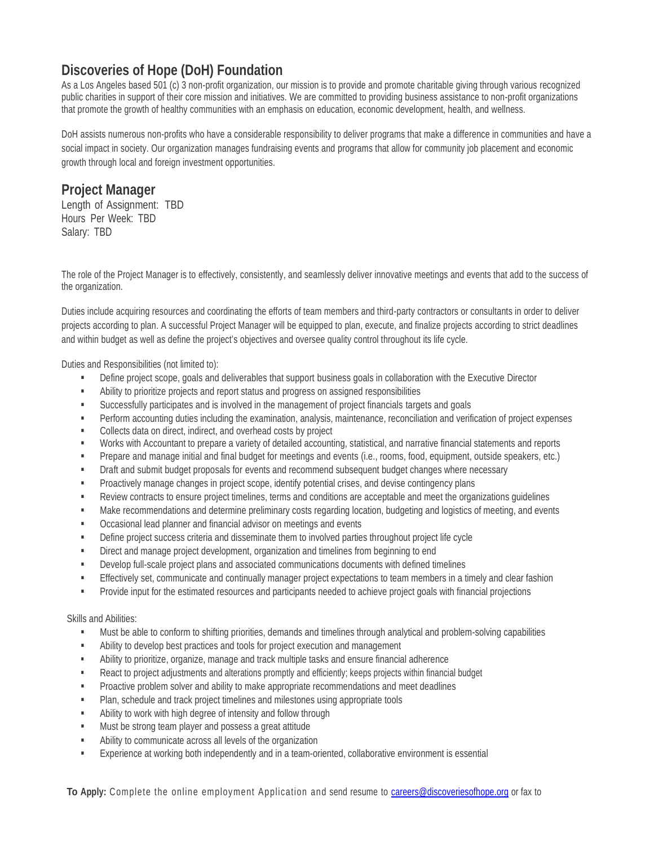## **Discoveries of Hope (DoH) Foundation**

As a Los Angeles based 501 (c) 3 non-profit organization, our mission is to provide and promote charitable giving through various recognized public charities in support of their core mission and initiatives. We are committed to providing business assistance to non-profit organizations that promote the growth of healthy communities with an emphasis on education, economic development, health, and wellness.

DoH assists numerous non-profits who have a considerable responsibility to deliver programs that make a difference in communities and have a social impact in society. Our organization manages fundraising events and programs that allow for community job placement and economic growth through local and foreign investment opportunities.

## **Project Manager**

Length of Assignment: TBD Hours Per Week: TBD Salary: TBD

The role of the Project Manager is to effectively, consistently, and seamlessly deliver innovative meetings and events that add to the success of the organization.

Duties include acquiring resources and coordinating the efforts of team members and third-party contractors or consultants in order to deliver projects according to plan. A successful Project Manager will be equipped to plan, execute, and finalize projects according to strict deadlines and within budget as well as define the project's objectives and oversee quality control throughout its life cycle.

Duties and Responsibilities (not limited to):

- Define project scope, goals and deliverables that support business goals in collaboration with the Executive Director
- Ability to prioritize projects and report status and progress on assigned responsibilities
- Successfully participates and is involved in the management of project financials targets and goals
- Perform accounting duties including the examination, analysis, maintenance, reconciliation and verification of project expenses
- Collects data on direct, indirect, and overhead costs by project
- Works with Accountant to prepare a variety of detailed accounting, statistical, and narrative financial statements and reports
- Prepare and manage initial and final budget for meetings and events (i.e., rooms, food, equipment, outside speakers, etc.)
- **Draft and submit budget proposals for events and recommend subsequent budget changes where necessary**
- Proactively manage changes in project scope, identify potential crises, and devise contingency plans
- Review contracts to ensure project timelines, terms and conditions are acceptable and meet the organizations guidelines
- **Make recommendations and determine preliminary costs regarding location, budgeting and logistics of meeting, and events**
- **•** Occasional lead planner and financial advisor on meetings and events
- **•** Define project success criteria and disseminate them to involved parties throughout project life cycle
- **EXECT** Direct and manage project development, organization and timelines from beginning to end
- Develop full-scale project plans and associated communications documents with defined timelines
- **Effectively set, communicate and continually manager project expectations to team members in a timely and clear fashion**
- **Provide input for the estimated resources and participants needed to achieve project goals with financial projections**

## Skills and Abilities:

- Must be able to conform to shifting priorities, demands and timelines through analytical and problem-solving capabilities
- Ability to develop best practices and tools for project execution and management
- Ability to prioritize, organize, manage and track multiple tasks and ensure financial adherence
- React to project adjustments and alterations promptly and efficiently; keeps projects within financial budget
- **Proactive problem solver and ability to make appropriate recommendations and meet deadlines**
- Plan, schedule and track project timelines and milestones using appropriate tools
- Ability to work with high degree of intensity and follow through
- Must be strong team player and possess a great attitude
- Ability to communicate across all levels of the organization
- Experience at working both independently and in a team-oriented, collaborative environment is essential

**To Apply:** Complete the online employment Application and send resume to careers@discoveriesofhope.org or fax to